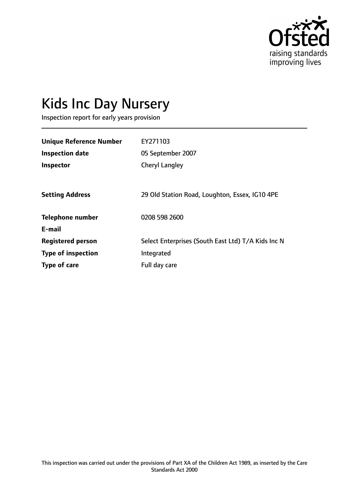

# Kids Inc Day Nursery

Inspection report for early years provision

| <b>Unique Reference Number</b> | EY271103                                           |
|--------------------------------|----------------------------------------------------|
| <b>Inspection date</b>         | 05 September 2007                                  |
| Inspector                      | <b>Cheryl Langley</b>                              |
|                                |                                                    |
| <b>Setting Address</b>         | 29 Old Station Road, Loughton, Essex, IG10 4PE     |
| <b>Telephone number</b>        | 0208 598 2600                                      |
| E-mail                         |                                                    |
| <b>Registered person</b>       | Select Enterprises (South East Ltd) T/A Kids Inc N |
| <b>Type of inspection</b>      | Integrated                                         |
| Type of care                   | Full day care                                      |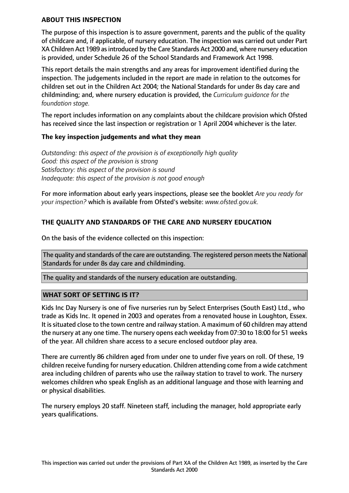#### **ABOUT THIS INSPECTION**

The purpose of this inspection is to assure government, parents and the public of the quality of childcare and, if applicable, of nursery education. The inspection was carried out under Part XA Children Act 1989 as introduced by the Care Standards Act 2000 and, where nursery education is provided, under Schedule 26 of the School Standards and Framework Act 1998.

This report details the main strengths and any areas for improvement identified during the inspection. The judgements included in the report are made in relation to the outcomes for children set out in the Children Act 2004; the National Standards for under 8s day care and childminding; and, where nursery education is provided, the *Curriculum guidance for the foundation stage.*

The report includes information on any complaints about the childcare provision which Ofsted has received since the last inspection or registration or 1 April 2004 whichever is the later.

## **The key inspection judgements and what they mean**

*Outstanding: this aspect of the provision is of exceptionally high quality Good: this aspect of the provision is strong Satisfactory: this aspect of the provision is sound Inadequate: this aspect of the provision is not good enough*

For more information about early years inspections, please see the booklet *Are you ready for your inspection?* which is available from Ofsted's website: *www.ofsted.gov.uk.*

## **THE QUALITY AND STANDARDS OF THE CARE AND NURSERY EDUCATION**

On the basis of the evidence collected on this inspection:

The quality and standards of the care are outstanding. The registered person meets the National Standards for under 8s day care and childminding.

The quality and standards of the nursery education are outstanding.

## **WHAT SORT OF SETTING IS IT?**

Kids Inc Day Nursery is one of five nurseries run by Select Enterprises (South East) Ltd., who trade as Kids Inc. It opened in 2003 and operates from a renovated house in Loughton, Essex. It issituated close to the town centre and railway station. A maximum of 60 children may attend the nursery at any one time. The nursery opens each weekday from 07:30 to 18:00 for 51 weeks of the year. All children share access to a secure enclosed outdoor play area.

There are currently 86 children aged from under one to under five years on roll. Of these, 19 children receive funding for nursery education. Children attending come from a wide catchment area including children of parents who use the railway station to travel to work. The nursery welcomes children who speak English as an additional language and those with learning and or physical disabilities.

The nursery employs 20 staff. Nineteen staff, including the manager, hold appropriate early years qualifications.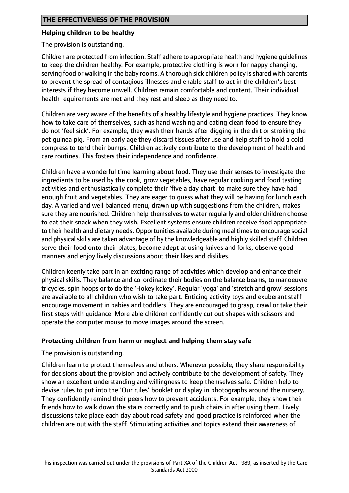## **Helping children to be healthy**

The provision is outstanding.

Children are protected from infection. Staff adhere to appropriate health and hygiene guidelines to keep the children healthy. For example, protective clothing is worn for nappy changing, serving food or walking in the baby rooms. A thorough sick children policy is shared with parents to prevent the spread of contagious illnesses and enable staff to act in the children's best interests if they become unwell. Children remain comfortable and content. Their individual health requirements are met and they rest and sleep as they need to.

Children are very aware of the benefits of a healthy lifestyle and hygiene practices. They know how to take care of themselves, such as hand washing and eating clean food to ensure they do not 'feel sick'. For example, they wash their hands after digging in the dirt or stroking the pet guinea pig. From an early age they discard tissues after use and help staff to hold a cold compress to tend their bumps. Children actively contribute to the development of health and care routines. This fosters their independence and confidence.

Children have a wonderful time learning about food. They use their senses to investigate the ingredients to be used by the cook, grow vegetables, have regular cooking and food tasting activities and enthusiastically complete their 'five a day chart' to make sure they have had enough fruit and vegetables. They are eager to guess what they will be having for lunch each day. A varied and well balanced menu, drawn up with suggestions from the children, makes sure they are nourished. Children help themselves to water regularly and older children choose to eat their snack when they wish. Excellent systems ensure children receive food appropriate to their health and dietary needs. Opportunities available during meal times to encourage social and physical skills are taken advantage of by the knowledgeable and highly skilled staff. Children serve their food onto their plates, become adept at using knives and forks, observe good manners and enjoy lively discussions about their likes and dislikes.

Children keenly take part in an exciting range of activities which develop and enhance their physical skills. They balance and co-ordinate their bodies on the balance beams, to manoeuvre tricycles, spin hoops or to do the 'Hokey kokey'. Regular 'yoga' and 'stretch and grow' sessions are available to all children who wish to take part. Enticing activity toys and exuberant staff encourage movement in babies and toddlers. They are encouraged to grasp, crawl or take their first steps with guidance. More able children confidently cut out shapes with scissors and operate the computer mouse to move images around the screen.

## **Protecting children from harm or neglect and helping them stay safe**

The provision is outstanding.

Children learn to protect themselves and others. Wherever possible, they share responsibility for decisions about the provision and actively contribute to the development of safety. They show an excellent understanding and willingness to keep themselves safe. Children help to devise rules to put into the 'Our rules' booklet or display in photographs around the nursery. They confidently remind their peers how to prevent accidents. For example, they show their friends how to walk down the stairs correctly and to push chairs in after using them. Lively discussions take place each day about road safety and good practice is reinforced when the children are out with the staff. Stimulating activities and topics extend their awareness of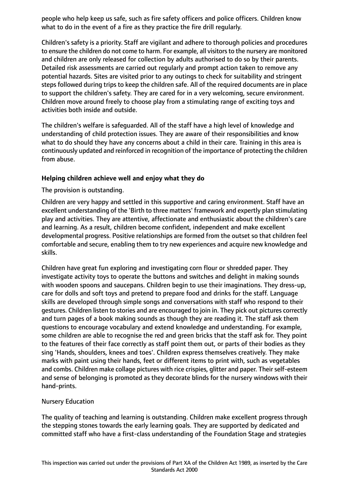people who help keep us safe, such as fire safety officers and police officers. Children know what to do in the event of a fire as they practice the fire drill regularly.

Children's safety is a priority. Staff are vigilant and adhere to thorough policies and procedures to ensure the children do not come to harm. For example, all visitors to the nursery are monitored and children are only released for collection by adults authorised to do so by their parents. Detailed risk assessments are carried out regularly and prompt action taken to remove any potential hazards. Sites are visited prior to any outings to check for suitability and stringent steps followed during trips to keep the children safe. All of the required documents are in place to support the children's safety. They are cared for in a very welcoming, secure environment. Children move around freely to choose play from a stimulating range of exciting toys and activities both inside and outside.

The children's welfare is safeguarded. All of the staff have a high level of knowledge and understanding of child protection issues. They are aware of their responsibilities and know what to do should they have any concerns about a child in their care. Training in this area is continuously updated and reinforced in recognition of the importance of protecting the children from abuse.

## **Helping children achieve well and enjoy what they do**

## The provision is outstanding.

Children are very happy and settled in this supportive and caring environment. Staff have an excellent understanding of the 'Birth to three matters' framework and expertly plan stimulating play and activities. They are attentive, affectionate and enthusiastic about the children's care and learning. As a result, children become confident, independent and make excellent developmental progress. Positive relationships are formed from the outset so that children feel comfortable and secure, enabling them to try new experiences and acquire new knowledge and skills.

Children have great fun exploring and investigating corn flour or shredded paper. They investigate activity toys to operate the buttons and switches and delight in making sounds with wooden spoons and saucepans. Children begin to use their imaginations. They dress-up, care for dolls and soft toys and pretend to prepare food and drinks for the staff. Language skills are developed through simple songs and conversations with staff who respond to their gestures. Children listen to stories and are encouraged to join in. They pick out pictures correctly and turn pages of a book making sounds as though they are reading it. The staff ask them questions to encourage vocabulary and extend knowledge and understanding. For example, some children are able to recognise the red and green bricks that the staff ask for. They point to the features of their face correctly as staff point them out, or parts of their bodies as they sing 'Hands, shoulders, knees and toes'. Children express themselves creatively. They make marks with paint using their hands, feet or different items to print with, such as vegetables and combs. Children make collage pictures with rice crispies, glitter and paper. Their self-esteem and sense of belonging is promoted as they decorate blinds for the nursery windows with their hand-prints.

## Nursery Education

The quality of teaching and learning is outstanding. Children make excellent progress through the stepping stones towards the early learning goals. They are supported by dedicated and committed staff who have a first-class understanding of the Foundation Stage and strategies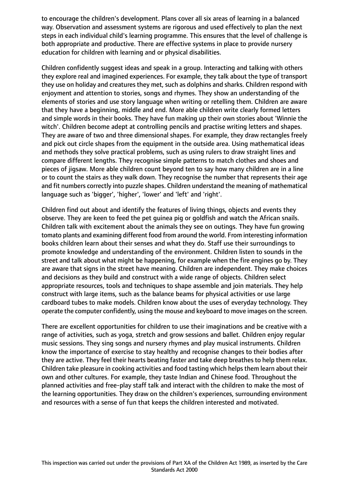to encourage the children's development. Plans cover all six areas of learning in a balanced way. Observation and assessment systems are rigorous and used effectively to plan the next steps in each individual child's learning programme. This ensures that the level of challenge is both appropriate and productive. There are effective systems in place to provide nursery education for children with learning and or physical disabilities.

Children confidently suggest ideas and speak in a group. Interacting and talking with others they explore real and imagined experiences. For example, they talk about the type of transport they use on holiday and creatures they met, such as dolphins and sharks. Children respond with enjoyment and attention to stories, songs and rhymes. They show an understanding of the elements of stories and use story language when writing or retelling them. Children are aware that they have a beginning, middle and end. More able children write clearly formed letters and simple words in their books. They have fun making up their own stories about 'Winnie the witch'. Children become adept at controlling pencils and practise writing letters and shapes. They are aware of two and three dimensional shapes. For example, they draw rectangles freely and pick out circle shapes from the equipment in the outside area. Using mathematical ideas and methods they solve practical problems, such as using rulers to draw straight lines and compare different lengths. They recognise simple patterns to match clothes and shoes and pieces of jigsaw. More able children count beyond ten to say how many children are in a line or to count the stairs as they walk down. They recognise the number that represents their age and fit numbers correctly into puzzle shapes. Children understand the meaning of mathematical language such as 'bigger', 'higher', 'lower' and 'left' and 'right'.

Children find out about and identify the features of living things, objects and events they observe. They are keen to feed the pet guinea pig or goldfish and watch the African snails. Children talk with excitement about the animals they see on outings. They have fun growing tomato plants and examining different food from around the world. From interesting information books children learn about their senses and what they do. Staff use their surroundings to promote knowledge and understanding of the environment. Children listen to sounds in the street and talk about what might be happening, for example when the fire engines go by. They are aware that signs in the street have meaning. Children are independent. They make choices and decisions as they build and construct with a wide range of objects. Children select appropriate resources, tools and techniques to shape assemble and join materials. They help construct with large items, such as the balance beams for physical activities or use large cardboard tubes to make models. Children know about the uses of everyday technology. They operate the computer confidently, using the mouse and keyboard to move images on the screen.

There are excellent opportunities for children to use their imaginations and be creative with a range of activities, such as yoga, stretch and grow sessions and ballet. Children enjoy regular music sessions. They sing songs and nursery rhymes and play musical instruments. Children know the importance of exercise to stay healthy and recognise changes to their bodies after they are active. They feel their hearts beating faster and take deep breathes to help them relax. Children take pleasure in cooking activities and food tasting which helps them learn about their own and other cultures. For example, they taste Indian and Chinese food. Throughout the planned activities and free-play staff talk and interact with the children to make the most of the learning opportunities. They draw on the children's experiences, surrounding environment and resources with a sense of fun that keeps the children interested and motivated.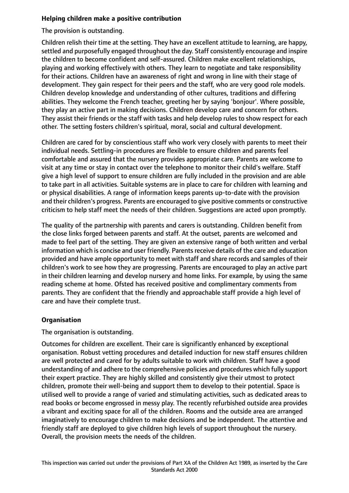## **Helping children make a positive contribution**

## The provision is outstanding.

Children relish their time at the setting. They have an excellent attitude to learning, are happy, settled and purposefully engaged throughout the day. Staff consistently encourage and inspire the children to become confident and self-assured. Children make excellent relationships, playing and working effectively with others. They learn to negotiate and take responsibility for their actions. Children have an awareness of right and wrong in line with their stage of development. They gain respect for their peers and the staff, who are very good role models. Children develop knowledge and understanding of other cultures, traditions and differing abilities. They welcome the French teacher, greeting her by saying 'bonjour'. Where possible, they play an active part in making decisions. Children develop care and concern for others. They assist their friends or the staff with tasks and help develop rules to show respect for each other. The setting fosters children's spiritual, moral, social and cultural development.

Children are cared for by conscientious staff who work very closely with parents to meet their individual needs. Settling-in procedures are flexible to ensure children and parents feel comfortable and assured that the nursery provides appropriate care. Parents are welcome to visit at any time or stay in contact over the telephone to monitor their child's welfare. Staff give a high level of support to ensure children are fully included in the provision and are able to take part in all activities. Suitable systems are in place to care for children with learning and or physical disabilities. A range of information keeps parents up-to-date with the provision and their children's progress. Parents are encouraged to give positive comments or constructive criticism to help staff meet the needs of their children. Suggestions are acted upon promptly.

The quality of the partnership with parents and carers is outstanding. Children benefit from the close links forged between parents and staff. At the outset, parents are welcomed and made to feel part of the setting. They are given an extensive range of both written and verbal information which is concise and user friendly. Parents receive details of the care and education provided and have ample opportunity to meet with staff and share records and samples of their children's work to see how they are progressing. Parents are encouraged to play an active part in their children learning and develop nursery and home links. For example, by using the same reading scheme at home. Ofsted has received positive and complimentary comments from parents. They are confident that the friendly and approachable staff provide a high level of care and have their complete trust.

# **Organisation**

The organisation is outstanding.

Outcomes for children are excellent. Their care is significantly enhanced by exceptional organisation. Robust vetting procedures and detailed induction for new staff ensures children are well protected and cared for by adults suitable to work with children. Staff have a good understanding of and adhere to the comprehensive policies and procedures which fully support their expert practice. They are highly skilled and consistently give their utmost to protect children, promote their well-being and support them to develop to their potential. Space is utilised well to provide a range of varied and stimulating activities, such as dedicated areas to read books or become engrossed in messy play. The recently refurbished outside area provides a vibrant and exciting space for all of the children. Rooms and the outside area are arranged imaginatively to encourage children to make decisions and be independent. The attentive and friendly staff are deployed to give children high levels of support throughout the nursery. Overall, the provision meets the needs of the children.